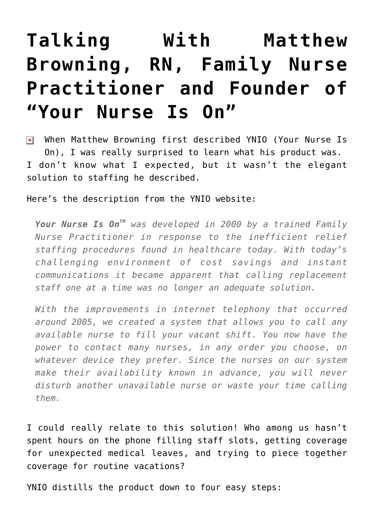## **[Talking With Matthew](https://managemypractice.com/talking-with-matthew-browning-rn-family-nurse-practitioner-and-founder-of-your-nurse-is-on/) [Browning, RN, Family Nurse](https://managemypractice.com/talking-with-matthew-browning-rn-family-nurse-practitioner-and-founder-of-your-nurse-is-on/) [Practitioner and Founder of](https://managemypractice.com/talking-with-matthew-browning-rn-family-nurse-practitioner-and-founder-of-your-nurse-is-on/) ["Your Nurse Is On"](https://managemypractice.com/talking-with-matthew-browning-rn-family-nurse-practitioner-and-founder-of-your-nurse-is-on/)**

When Matthew Browning first described YNIO (Your Nurse Is On), I was really surprised to learn what his product was. I don't know what I expected, but it wasn't the elegant solution to staffing he described.

## Here's the description from the YNIO website:

*Your Nurse Is OnTM was developed in 2000 by a trained Family Nurse Practitioner in response to the inefficient relief staffing procedures found in healthcare today. With today's challenging environment of cost savings and instant communications it became apparent that calling replacement staff one at a time was no longer an adequate solution.*

*With the improvements in internet telephony that occurred around 2005, we created a system that allows you to call any available nurse to fill your vacant shift. You now have the power to contact many nurses, in any order you choose, on whatever device they prefer. Since the nurses on our system make their availability known in advance, you will never disturb another unavailable nurse or waste your time calling them.*

I could really relate to this solution! Who among us hasn't spent hours on the phone filling staff slots, getting coverage for unexpected medical leaves, and trying to piece together coverage for routine vacations?

YNIO distills the product down to four easy steps: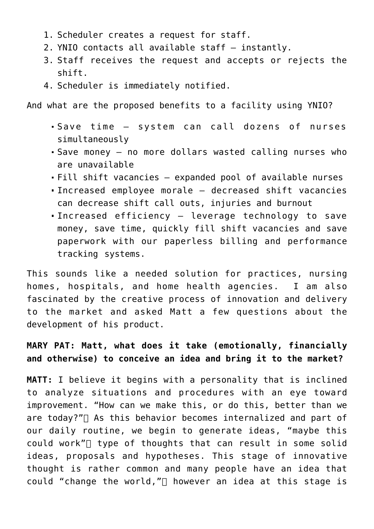- 1. Scheduler creates a request for staff.
- 2. YNIO contacts all available staff instantly.
- 3. Staff receives the request and accepts or rejects the shift.
- 4. Scheduler is immediately notified.

And what are the proposed benefits to a facility using YNIO?

- Save time system can call dozens of nurses simultaneously
- Save money no more dollars wasted calling nurses who are unavailable
- Fill shift vacancies expanded pool of available nurses
- Increased employee morale decreased shift vacancies can decrease shift call outs, injuries and burnout
- Increased efficiency leverage technology to save money, save time, quickly fill shift vacancies and save paperwork with our paperless billing and performance tracking systems.

This sounds like a needed solution for practices, nursing homes, hospitals, and home health agencies. I am also fascinated by the creative process of innovation and delivery to the market and asked Matt a few questions about the development of his product.

**MARY PAT: Matt, what does it take (emotionally, financially and otherwise) to conceive an idea and bring it to the market?**

**MATT:** I believe it begins with a personality that is inclined to analyze situations and procedures with an eye toward improvement. "How can we make this, or do this, better than we are today?" As this behavior becomes internalized and part of our daily routine, we begin to generate ideas, "maybe this could work" $\sqcap$  type of thoughts that can result in some solid ideas, proposals and hypotheses. This stage of innovative thought is rather common and many people have an idea that could "change the world," $\Box$  however an idea at this stage is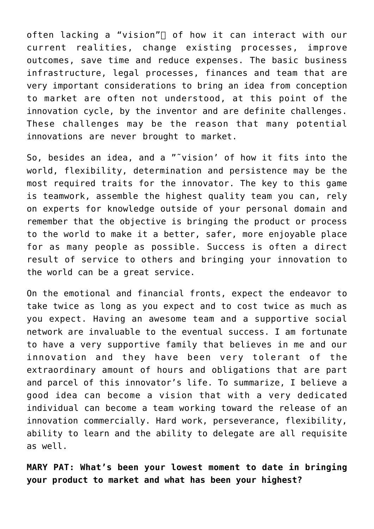often lacking a "vision" $\sqcap$  of how it can interact with our current realities, change existing processes, improve outcomes, save time and reduce expenses. The basic business infrastructure, legal processes, finances and team that are very important considerations to bring an idea from conception to market are often not understood, at this point of the innovation cycle, by the inventor and are definite challenges. These challenges may be the reason that many potential innovations are never brought to market.

So, besides an idea, and a "˜vision' of how it fits into the world, flexibility, determination and persistence may be the most required traits for the innovator. The key to this game is teamwork, assemble the highest quality team you can, rely on experts for knowledge outside of your personal domain and remember that the objective is bringing the product or process to the world to make it a better, safer, more enjoyable place for as many people as possible. Success is often a direct result of service to others and bringing your innovation to the world can be a great service.

On the emotional and financial fronts, expect the endeavor to take twice as long as you expect and to cost twice as much as you expect. Having an awesome team and a supportive social network are invaluable to the eventual success. I am fortunate to have a very supportive family that believes in me and our innovation and they have been very tolerant of the extraordinary amount of hours and obligations that are part and parcel of this innovator's life. To summarize, I believe a good idea can become a vision that with a very dedicated individual can become a team working toward the release of an innovation commercially. Hard work, perseverance, flexibility, ability to learn and the ability to delegate are all requisite as well.

**MARY PAT: What's been your lowest moment to date in bringing your product to market and what has been your highest?**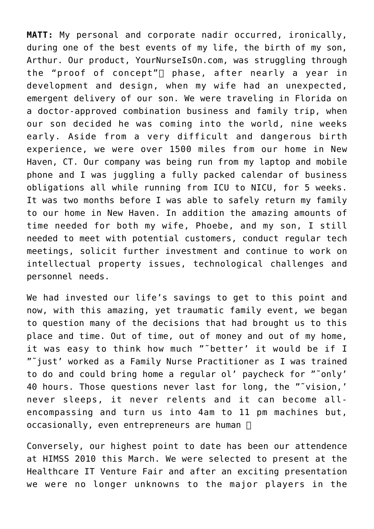**MATT:** My personal and corporate nadir occurred, ironically, during one of the best events of my life, the birth of my son, Arthur. Our product, YourNurseIsOn.com, was struggling through the "proof of concept" $\sqcap$  phase, after nearly a year in development and design, when my wife had an unexpected, emergent delivery of our son. We were traveling in Florida on a doctor-approved combination business and family trip, when our son decided he was coming into the world, nine weeks early. Aside from a very difficult and dangerous birth experience, we were over 1500 miles from our home in New Haven, CT. Our company was being run from my laptop and mobile phone and I was juggling a fully packed calendar of business obligations all while running from ICU to NICU, for 5 weeks. It was two months before I was able to safely return my family to our home in New Haven. In addition the amazing amounts of time needed for both my wife, Phoebe, and my son, I still needed to meet with potential customers, conduct regular tech meetings, solicit further investment and continue to work on intellectual property issues, technological challenges and personnel needs.

We had invested our life's savings to get to this point and now, with this amazing, yet traumatic family event, we began to question many of the decisions that had brought us to this place and time. Out of time, out of money and out of my home, it was easy to think how much "˜better' it would be if I "˜just' worked as a Family Nurse Practitioner as I was trained to do and could bring home a regular ol' paycheck for "˜only' 40 hours. Those questions never last for long, the "˜vision,' never sleeps, it never relents and it can become allencompassing and turn us into 4am to 11 pm machines but, occasionally, even entrepreneurs are human  $\Box$ 

Conversely, our highest point to date has been our attendence at HIMSS 2010 this March. We were selected to present at the Healthcare IT Venture Fair and after an exciting presentation we were no longer unknowns to the major players in the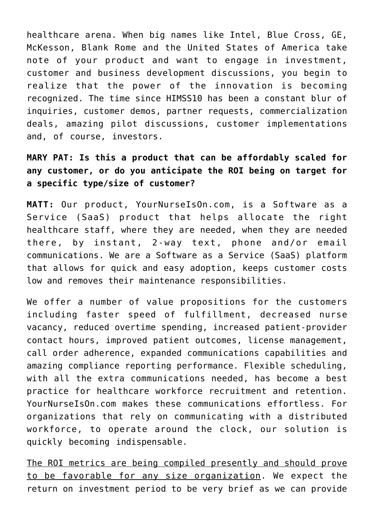healthcare arena. When big names like Intel, Blue Cross, GE, McKesson, Blank Rome and the United States of America take note of your product and want to engage in investment, customer and business development discussions, you begin to realize that the power of the innovation is becoming recognized. The time since HIMSS10 has been a constant blur of inquiries, customer demos, partner requests, commercialization deals, amazing pilot discussions, customer implementations and, of course, investors.

**MARY PAT: Is this a product that can be affordably scaled for any customer, or do you anticipate the ROI being on target for a specific type/size of customer?**

**MATT:** Our product, YourNurseIsOn.com, is a Software as a Service (SaaS) product that helps allocate the right healthcare staff, where they are needed, when they are needed there, by instant, 2-way text, phone and/or email communications. We are a Software as a Service (SaaS) platform that allows for quick and easy adoption, keeps customer costs low and removes their maintenance responsibilities.

We offer a number of value propositions for the customers including faster speed of fulfillment, decreased nurse vacancy, reduced overtime spending, increased patient-provider contact hours, improved patient outcomes, license management, call order adherence, expanded communications capabilities and amazing compliance reporting performance. Flexible scheduling, with all the extra communications needed, has become a best practice for healthcare workforce recruitment and retention. YourNurseIsOn.com makes these communications effortless. For organizations that rely on communicating with a distributed workforce, to operate around the clock, our solution is quickly becoming indispensable.

The ROI metrics are being compiled presently and should prove to be favorable for any size organization. We expect the return on investment period to be very brief as we can provide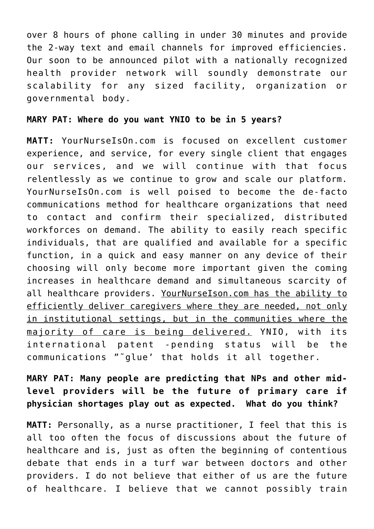over 8 hours of phone calling in under 30 minutes and provide the 2-way text and email channels for improved efficiencies. Our soon to be announced pilot with a nationally recognized health provider network will soundly demonstrate our scalability for any sized facility, organization or governmental body.

## **MARY PAT: Where do you want YNIO to be in 5 years?**

**MATT:** YourNurseIsOn.com is focused on excellent customer experience, and service, for every single client that engages our services, and we will continue with that focus relentlessly as we continue to grow and scale our platform. YourNurseIsOn.com is well poised to become the de-facto communications method for healthcare organizations that need to contact and confirm their specialized, distributed workforces on demand. The ability to easily reach specific individuals, that are qualified and available for a specific function, in a quick and easy manner on any device of their choosing will only become more important given the coming increases in healthcare demand and simultaneous scarcity of all healthcare providers. YourNurseIson.com has the ability to efficiently deliver caregivers where they are needed, not only in institutional settings, but in the communities where the majority of care is being delivered. YNIO, with its international patent -pending status will be the communications "˜glue' that holds it all together.

**MARY PAT: Many people are predicting that NPs and other midlevel providers will be the future of primary care if physician shortages play out as expected. What do you think?**

**MATT:** Personally, as a nurse practitioner, I feel that this is all too often the focus of discussions about the future of healthcare and is, just as often the beginning of contentious debate that ends in a turf war between doctors and other providers. I do not believe that either of us are the future of healthcare. I believe that we cannot possibly train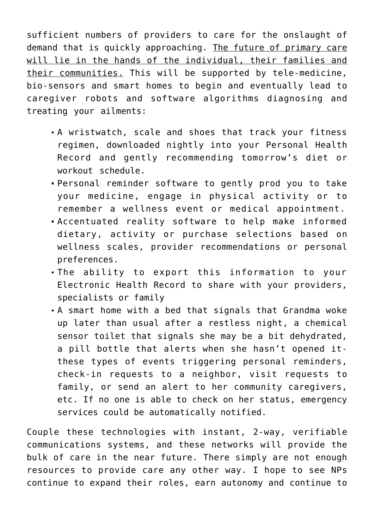sufficient numbers of providers to care for the onslaught of demand that is quickly approaching. The future of primary care will lie in the hands of the individual, their families and their communities. This will be supported by tele-medicine, bio-sensors and smart homes to begin and eventually lead to caregiver robots and software algorithms diagnosing and treating your ailments:

- A wristwatch, scale and shoes that track your fitness regimen, downloaded nightly into your Personal Health Record and gently recommending tomorrow's diet or workout schedule.
- Personal reminder software to gently prod you to take your medicine, engage in physical activity or to remember a wellness event or medical appointment.
- Accentuated reality software to help make informed dietary, activity or purchase selections based on wellness scales, provider recommendations or personal preferences.
- The ability to export this information to your Electronic Health Record to share with your providers, specialists or family
- A smart home with a bed that signals that Grandma woke up later than usual after a restless night, a chemical sensor toilet that signals she may be a bit dehydrated, a pill bottle that alerts when she hasn't opened itthese types of events triggering personal reminders, check-in requests to a neighbor, visit requests to family, or send an alert to her community caregivers, etc. If no one is able to check on her status, emergency services could be automatically notified.

Couple these technologies with instant, 2-way, verifiable communications systems, and these networks will provide the bulk of care in the near future. There simply are not enough resources to provide care any other way. I hope to see NPs continue to expand their roles, earn autonomy and continue to